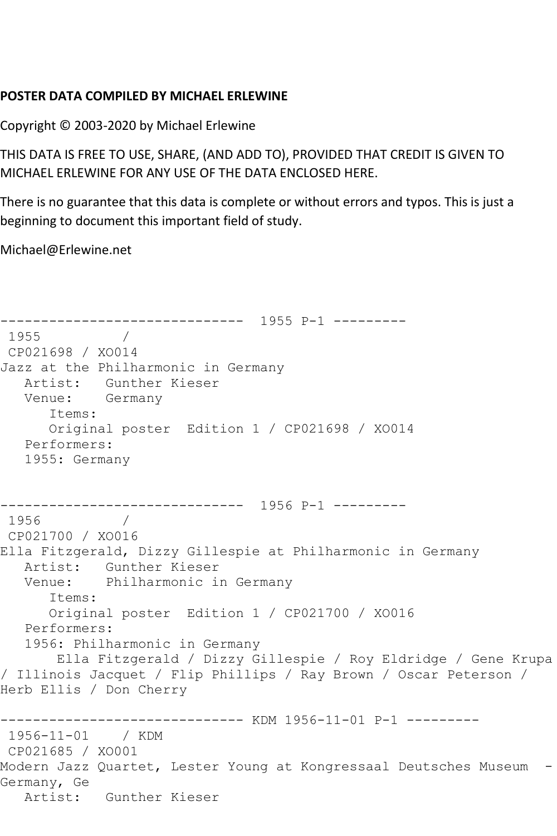## **POSTER DATA COMPILED BY MICHAEL ERLEWINE**

Copyright © 2003-2020 by Michael Erlewine

THIS DATA IS FREE TO USE, SHARE, (AND ADD TO), PROVIDED THAT CREDIT IS GIVEN TO MICHAEL ERLEWINE FOR ANY USE OF THE DATA ENCLOSED HERE.

There is no guarantee that this data is complete or without errors and typos. This is just a beginning to document this important field of study.

Michael@Erlewine.net

```
------------------------------ 1955 P-1 ---------
1955 / 
CP021698 / XO014
Jazz at the Philharmonic in Germany
   Artist: Gunther Kieser
   Venue: Germany
      Items:
      Original poster Edition 1 / CP021698 / XO014
   Performers:
   1955: Germany
    ------------------------------ 1956 P-1 ---------
1956 / 
CP021700 / XO016
Ella Fitzgerald, Dizzy Gillespie at Philharmonic in Germany
   Artist: Gunther Kieser
   Venue: Philharmonic in Germany
      Items:
      Original poster Edition 1 / CP021700 / XO016
   Performers:
   1956: Philharmonic in Germany
       Ella Fitzgerald / Dizzy Gillespie / Roy Eldridge / Gene Krupa 
/ Illinois Jacquet / Flip Phillips / Ray Brown / Oscar Peterson / 
Herb Ellis / Don Cherry
------------------------------ KDM 1956-11-01 P-1 ---------
1956-11-01 / KDM 
CP021685 / XO001
Modern Jazz Quartet, Lester Young at Kongressaal Deutsches Museum -
Germany, Ge
   Artist: Gunther Kieser
```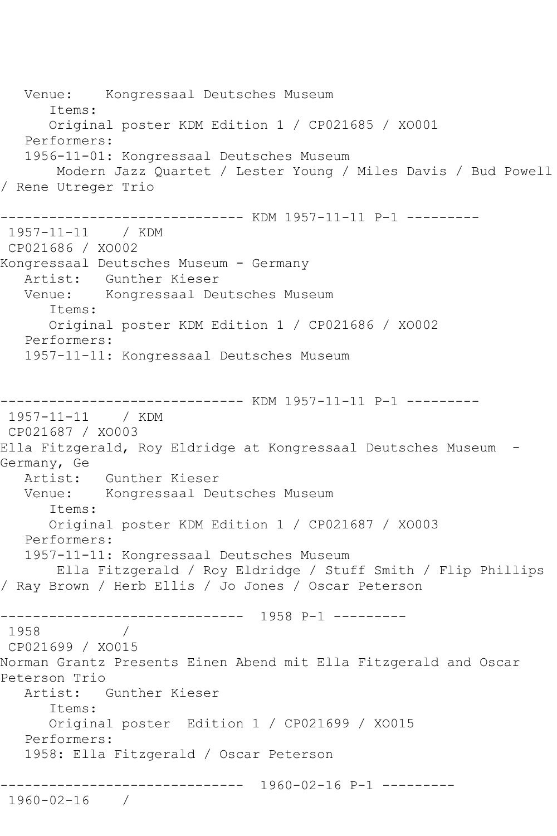Venue: Kongressaal Deutsches Museum Items: Original poster KDM Edition 1 / CP021685 / XO001 Performers: 1956-11-01: Kongressaal Deutsches Museum Modern Jazz Quartet / Lester Young / Miles Davis / Bud Powell / Rene Utreger Trio ------------------------------ KDM 1957-11-11 P-1 --------- 1957-11-11 / KDM CP021686 / XO002 Kongressaal Deutsches Museum - Germany Artist: Gunther Kieser Venue: Kongressaal Deutsches Museum Items: Original poster KDM Edition 1 / CP021686 / XO002 Performers: 1957-11-11: Kongressaal Deutsches Museum ------------------------------ KDM 1957-11-11 P-1 --------- 1957-11-11 / KDM CP021687 / XO003 Ella Fitzgerald, Roy Eldridge at Kongressaal Deutsches Museum - Germany, Ge Artist: Gunther Kieser Venue: Kongressaal Deutsches Museum Items: Original poster KDM Edition 1 / CP021687 / XO003 Performers: 1957-11-11: Kongressaal Deutsches Museum Ella Fitzgerald / Roy Eldridge / Stuff Smith / Flip Phillips / Ray Brown / Herb Ellis / Jo Jones / Oscar Peterson ------------------------------ 1958 P-1 --------- 1958 / CP021699 / XO015 Norman Grantz Presents Einen Abend mit Ella Fitzgerald and Oscar Peterson Trio Artist: Gunther Kieser Items: Original poster Edition 1 / CP021699 / XO015 Performers: 1958: Ella Fitzgerald / Oscar Peterson ------------------------------ 1960-02-16 P-1 --------- 1960-02-16 /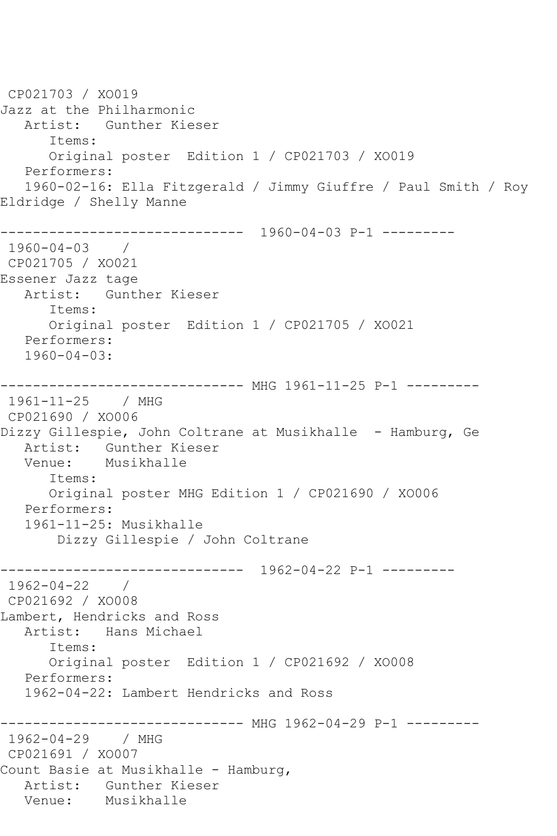```
CP021703 / XO019
Jazz at the Philharmonic
   Artist: Gunther Kieser
       Items:
      Original poster Edition 1 / CP021703 / XO019
    Performers:
    1960-02-16: Ella Fitzgerald / Jimmy Giuffre / Paul Smith / Roy 
Eldridge / Shelly Manne
------------------------------ 1960-04-03 P-1 ---------
1960-04-03 / 
CP021705 / XO021
Essener Jazz tage
   Artist: Gunther Kieser
       Items:
       Original poster Edition 1 / CP021705 / XO021
   Performers:
    1960-04-03:
------------------------------ MHG 1961-11-25 P-1 ---------
1961-11-25 / MHG 
CP021690 / XO006
Dizzy Gillespie, John Coltrane at Musikhalle - Hamburg, Ge
   Artist: Gunther Kieser
   Venue: Musikhalle
       Items:
       Original poster MHG Edition 1 / CP021690 / XO006
   Performers:
    1961-11-25: Musikhalle
        Dizzy Gillespie / John Coltrane
                 ------------------------------ 1962-04-22 P-1 ---------
1962-04-22 / 
CP021692 / XO008
Lambert, Hendricks and Ross
   Artist: Hans Michael
       Items:
       Original poster Edition 1 / CP021692 / XO008
   Performers:
    1962-04-22: Lambert Hendricks and Ross
------------------------------ MHG 1962-04-29 P-1 ---------
1962-04-29 / MHG 
CP021691 / XO007
Count Basie at Musikhalle - Hamburg,
  Artist: Gunther Kieser<br>Venue: Musikhalle
            Musikhalle
```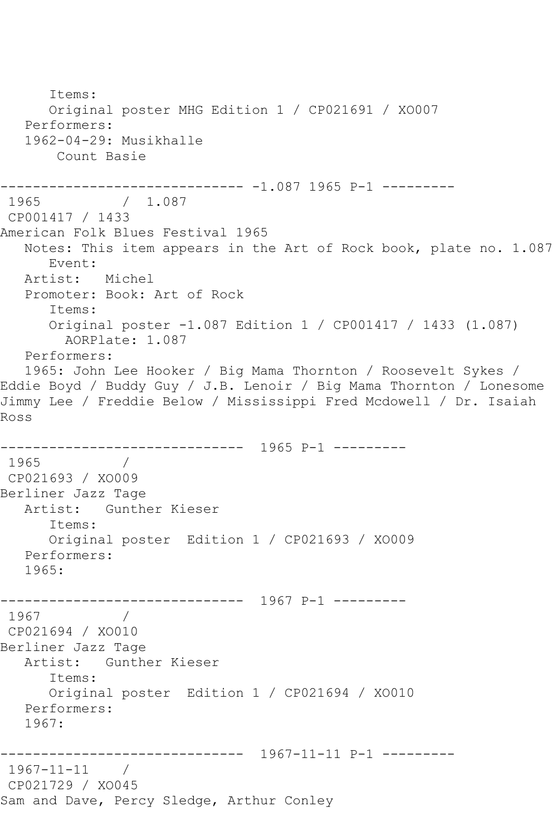Items: Original poster MHG Edition 1 / CP021691 / XO007 Performers: 1962-04-29: Musikhalle Count Basie ------------------------------ -1.087 1965 P-1 --------- 1965 / 1.087 CP001417 / 1433 American Folk Blues Festival 1965 Notes: This item appears in the Art of Rock book, plate no. 1.087 Event: Artist: Michel Promoter: Book: Art of Rock Items: Original poster -1.087 Edition 1 / CP001417 / 1433 (1.087) AORPlate: 1.087 Performers: 1965: John Lee Hooker / Big Mama Thornton / Roosevelt Sykes / Eddie Boyd / Buddy Guy / J.B. Lenoir / Big Mama Thornton / Lonesome Jimmy Lee / Freddie Below / Mississippi Fred Mcdowell / Dr. Isaiah Ross ------------------------------ 1965 P-1 --------- 1965 / CP021693 / XO009 Berliner Jazz Tage Artist: Gunther Kieser Items: Original poster Edition 1 / CP021693 / XO009 Performers: 1965: ------------------------------ 1967 P-1 --------- 1967 / CP021694 / XO010 Berliner Jazz Tage Artist: Gunther Kieser Items: Original poster Edition 1 / CP021694 / XO010 Performers: 1967: ------------------------------ 1967-11-11 P-1 --------- 1967-11-11 / CP021729 / XO045 Sam and Dave, Percy Sledge, Arthur Conley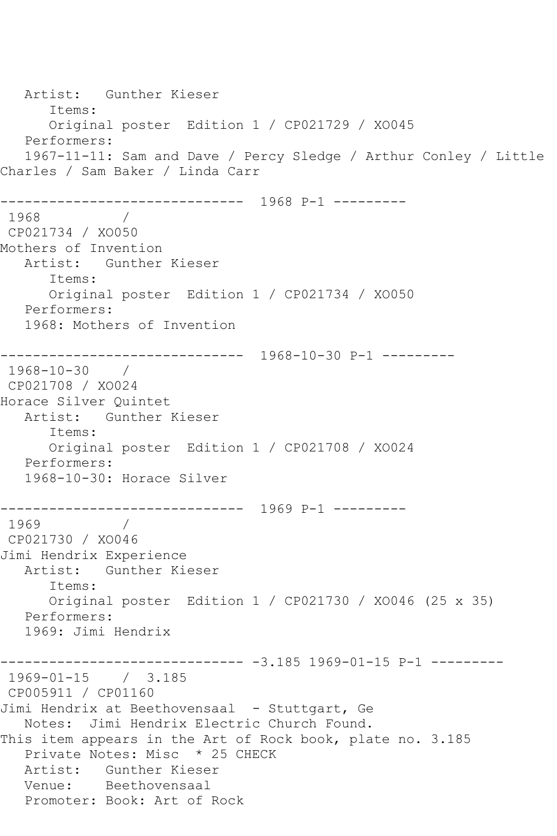Artist: Gunther Kieser Items: Original poster Edition 1 / CP021729 / XO045 Performers: 1967-11-11: Sam and Dave / Percy Sledge / Arthur Conley / Little Charles / Sam Baker / Linda Carr ------------------------------ 1968 P-1 --------- 1968 / CP021734 / XO050 Mothers of Invention Artist: Gunther Kieser Items: Original poster Edition 1 / CP021734 / XO050 Performers: 1968: Mothers of Invention ------------------------------ 1968-10-30 P-1 --------- 1968-10-30 / CP021708 / XO024 Horace Silver Quintet Artist: Gunther Kieser Items: Original poster Edition 1 / CP021708 / XO024 Performers: 1968-10-30: Horace Silver ------------------------------ 1969 P-1 --------- 1969 / CP021730 / XO046 Jimi Hendrix Experience Artist: Gunther Kieser Items: Original poster Edition 1 / CP021730 / XO046 (25 x 35) Performers: 1969: Jimi Hendrix ------------------------------ -3.185 1969-01-15 P-1 --------- 1969-01-15 / 3.185 CP005911 / CP01160 Jimi Hendrix at Beethovensaal - Stuttgart, Ge Notes: Jimi Hendrix Electric Church Found. This item appears in the Art of Rock book, plate no. 3.185 Private Notes: Misc \* 25 CHECK Artist: Gunther Kieser Venue: Beethovensaal Promoter: Book: Art of Rock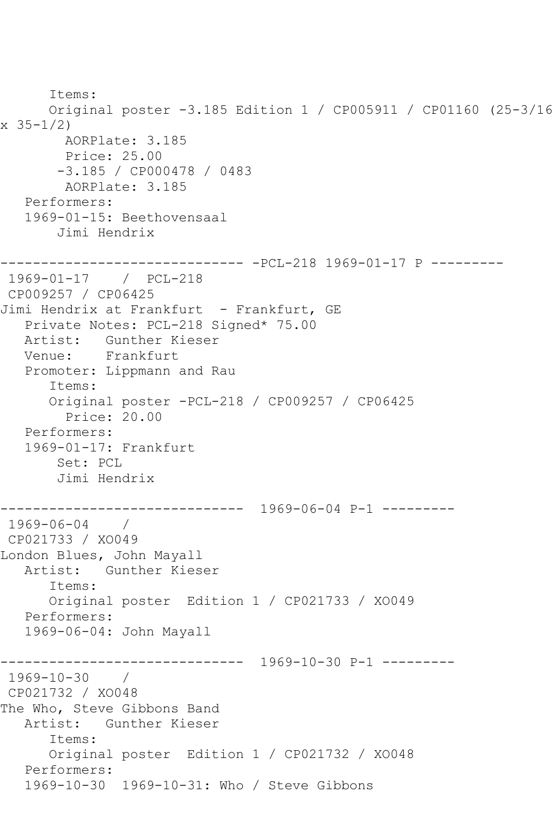```
 Items:
       Original poster -3.185 Edition 1 / CP005911 / CP01160 (25-3/16 
x 35-1/2)
        AORPlate: 3.185 
         Price: 25.00
        -3.185 / CP000478 / 0483
         AORPlate: 3.185 
   Performers:
    1969-01-15: Beethovensaal
        Jimi Hendrix
    ------------------------------ -PCL-218 1969-01-17 P ---------
1969-01-17 / PCL-218
CP009257 / CP06425
Jimi Hendrix at Frankfurt - Frankfurt, GE
   Private Notes: PCL-218 Signed* 75.00
   Artist: Gunther Kieser
   Venue: Frankfurt
    Promoter: Lippmann and Rau
       Items:
       Original poster -PCL-218 / CP009257 / CP06425
         Price: 20.00
   Performers:
    1969-01-17: Frankfurt
        Set: PCL
        Jimi Hendrix
          ------------------------------ 1969-06-04 P-1 ---------
1969-06-04 / 
CP021733 / XO049
London Blues, John Mayall
   Artist: Gunther Kieser
       Items:
      Original poster Edition 1 / CP021733 / XO049
    Performers:
    1969-06-04: John Mayall
                 ------------------------------ 1969-10-30 P-1 ---------
1969-10-30 / 
CP021732 / XO048
The Who, Steve Gibbons Band
   Artist: Gunther Kieser
       Items:
       Original poster Edition 1 / CP021732 / XO048
    Performers:
    1969-10-30 1969-10-31: Who / Steve Gibbons
```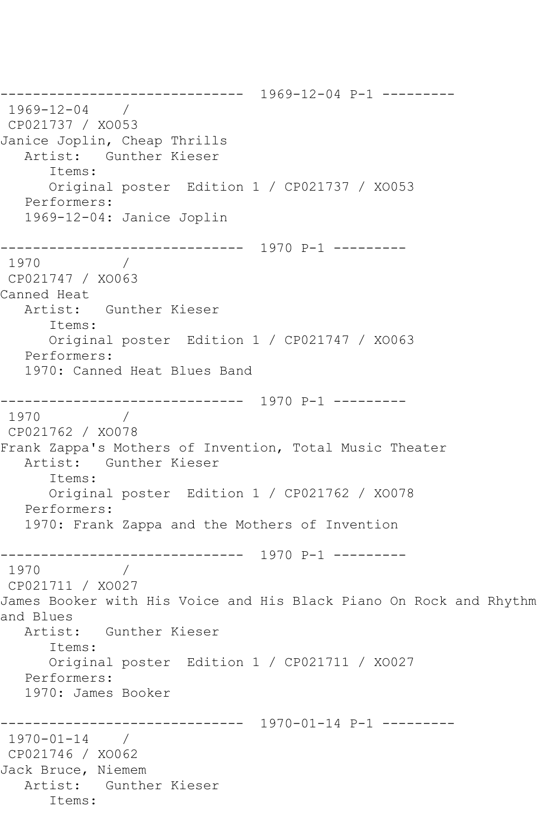------------------------------ 1969-12-04 P-1 --------- 1969-12-04 / CP021737 / XO053 Janice Joplin, Cheap Thrills Artist: Gunther Kieser Items: Original poster Edition 1 / CP021737 / XO053 Performers: 1969-12-04: Janice Joplin ------------------------------ 1970 P-1 --------- 1970 / CP021747 / XO063 Canned Heat Artist: Gunther Kieser Items: Original poster Edition 1 / CP021747 / XO063 Performers: 1970: Canned Heat Blues Band ------------------------------ 1970 P-1 --------- 1970 / CP021762 / XO078 Frank Zappa's Mothers of Invention, Total Music Theater Artist: Gunther Kieser Items: Original poster Edition 1 / CP021762 / XO078 Performers: 1970: Frank Zappa and the Mothers of Invention ------------------------------ 1970 P-1 --------- 1970 / CP021711 / XO027 James Booker with His Voice and His Black Piano On Rock and Rhythm and Blues Artist: Gunther Kieser Items: Original poster Edition 1 / CP021711 / XO027 Performers: 1970: James Booker ------------------------------ 1970-01-14 P-1 --------- 1970-01-14 / CP021746 / XO062 Jack Bruce, Niemem Artist: Gunther Kieser Items: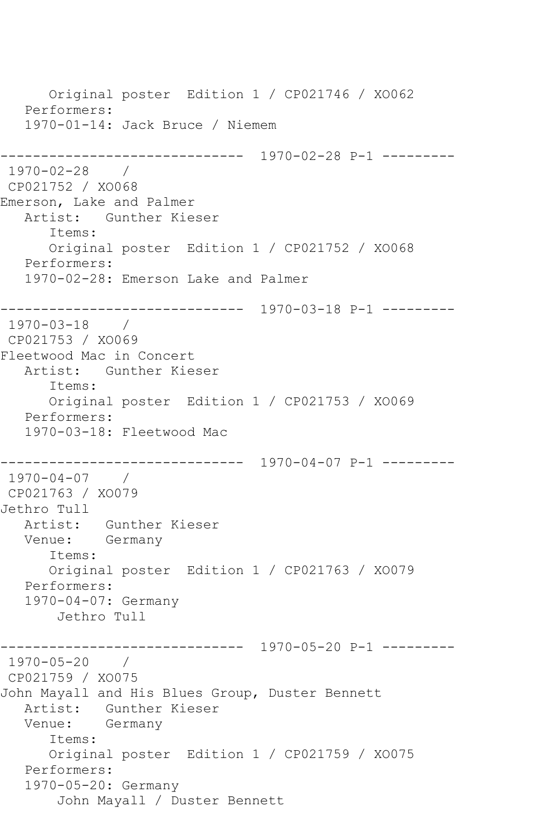Original poster Edition 1 / CP021746 / XO062 Performers: 1970-01-14: Jack Bruce / Niemem ------------------------------ 1970-02-28 P-1 --------- 1970-02-28 / CP021752 / XO068 Emerson, Lake and Palmer Artist: Gunther Kieser Items: Original poster Edition 1 / CP021752 / XO068 Performers: 1970-02-28: Emerson Lake and Palmer ------------------------------ 1970-03-18 P-1 --------- 1970-03-18 / CP021753 / XO069 Fleetwood Mac in Concert Artist: Gunther Kieser Items: Original poster Edition 1 / CP021753 / XO069 Performers: 1970-03-18: Fleetwood Mac ------------------------------ 1970-04-07 P-1 --------- 1970-04-07 / CP021763 / XO079 Jethro Tull Artist: Gunther Kieser Venue: Germany Items: Original poster Edition 1 / CP021763 / XO079 Performers: 1970-04-07: Germany Jethro Tull ------------------------------ 1970-05-20 P-1 --------- 1970-05-20 / CP021759 / XO075 John Mayall and His Blues Group, Duster Bennett Artist: Gunther Kieser Venue: Germany Items: Original poster Edition 1 / CP021759 / XO075 Performers: 1970-05-20: Germany John Mayall / Duster Bennett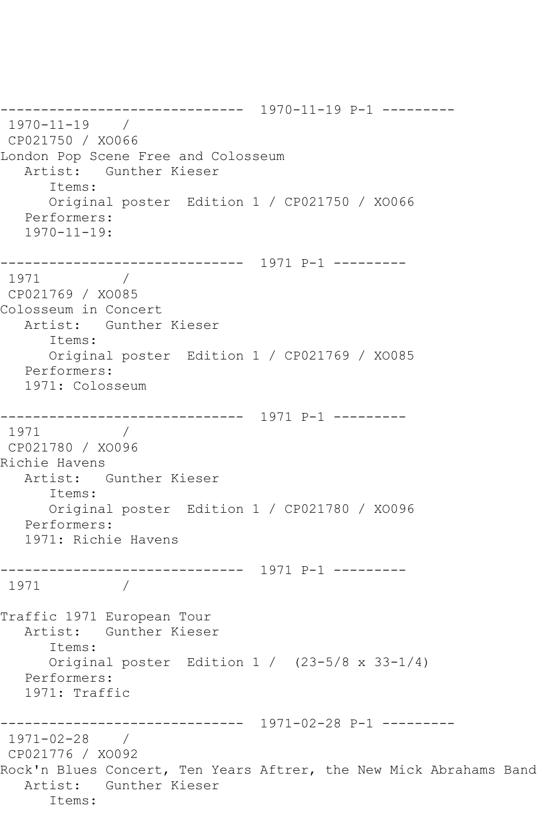------------------------------ 1970-11-19 P-1 --------- 1970-11-19 / CP021750 / XO066 London Pop Scene Free and Colosseum Artist: Gunther Kieser Items: Original poster Edition 1 / CP021750 / XO066 Performers: 1970-11-19: ------------------------------ 1971 P-1 --------- 1971 / CP021769 / XO085 Colosseum in Concert Artist: Gunther Kieser Items: Original poster Edition 1 / CP021769 / XO085 Performers: 1971: Colosseum ------------------------------ 1971 P-1 --------- 1971 / CP021780 / XO096 Richie Havens Artist: Gunther Kieser Items: Original poster Edition 1 / CP021780 / XO096 Performers: 1971: Richie Havens ------------------------------ 1971 P-1 --------- 1971 Traffic 1971 European Tour Artist: Gunther Kieser Items: Original poster Edition 1 / (23-5/8 x 33-1/4) Performers: 1971: Traffic ------------------------------ 1971-02-28 P-1 --------- 1971-02-28 / CP021776 / XO092 Rock'n Blues Concert, Ten Years Aftrer, the New Mick Abrahams Band Artist: Gunther Kieser Items: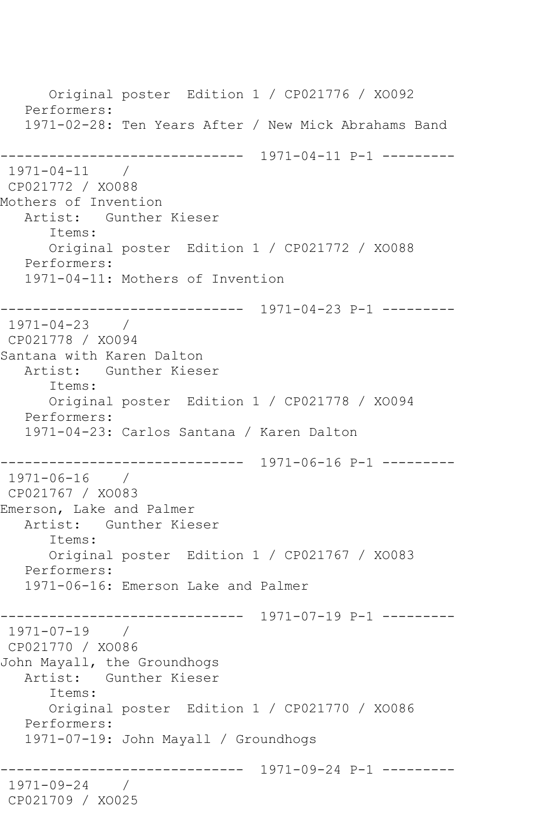Original poster Edition 1 / CP021776 / XO092 Performers: 1971-02-28: Ten Years After / New Mick Abrahams Band ------------------------------ 1971-04-11 P-1 --------- 1971-04-11 / CP021772 / XO088 Mothers of Invention Artist: Gunther Kieser Items: Original poster Edition 1 / CP021772 / XO088 Performers: 1971-04-11: Mothers of Invention ------------------------------ 1971-04-23 P-1 --------- 1971-04-23 / CP021778 / XO094 Santana with Karen Dalton Artist: Gunther Kieser Items: Original poster Edition 1 / CP021778 / XO094 Performers: 1971-04-23: Carlos Santana / Karen Dalton ------------------------------ 1971-06-16 P-1 --------- 1971-06-16 / CP021767 / XO083 Emerson, Lake and Palmer Artist: Gunther Kieser Items: Original poster Edition 1 / CP021767 / XO083 Performers: 1971-06-16: Emerson Lake and Palmer ------------------------------ 1971-07-19 P-1 --------- 1971-07-19 / CP021770 / XO086 John Mayall, the Groundhogs Artist: Gunther Kieser Items: Original poster Edition 1 / CP021770 / XO086 Performers: 1971-07-19: John Mayall / Groundhogs ------------------------------ 1971-09-24 P-1 --------- 1971-09-24 / CP021709 / XO025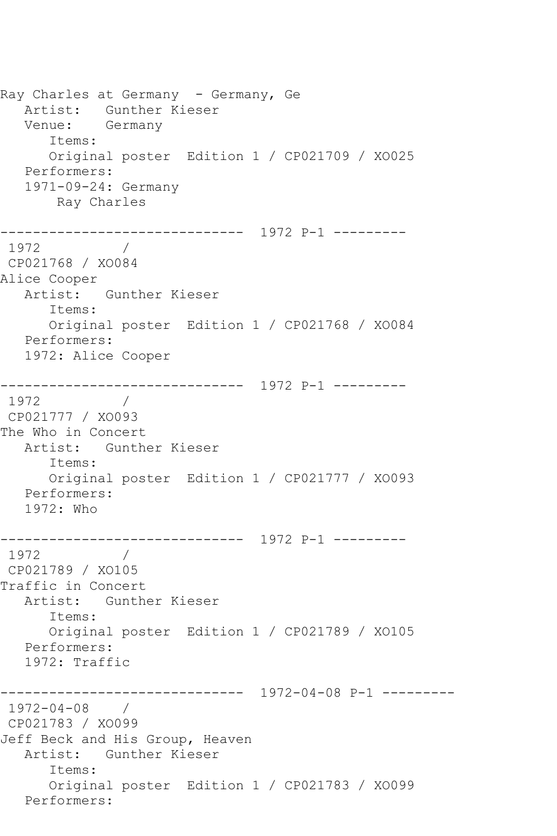Ray Charles at Germany - Germany, Ge Artist: Gunther Kieser Venue: Germany Items: Original poster Edition 1 / CP021709 / XO025 Performers: 1971-09-24: Germany Ray Charles ------------------------------ 1972 P-1 --------- 1972 / CP021768 / XO084 Alice Cooper Artist: Gunther Kieser Items: Original poster Edition 1 / CP021768 / XO084 Performers: 1972: Alice Cooper ------------------------------ 1972 P-1 --------- 1972 CP021777 / XO093 The Who in Concert Artist: Gunther Kieser Items: Original poster Edition 1 / CP021777 / XO093 Performers: 1972: Who ------------------------------ 1972 P-1 --------- 1972 / CP021789 / XO105 Traffic in Concert Artist: Gunther Kieser Items: Original poster Edition 1 / CP021789 / XO105 Performers: 1972: Traffic ------------------------------ 1972-04-08 P-1 --------- 1972-04-08 / CP021783 / XO099 Jeff Beck and His Group, Heaven Artist: Gunther Kieser Items: Original poster Edition 1 / CP021783 / XO099 Performers: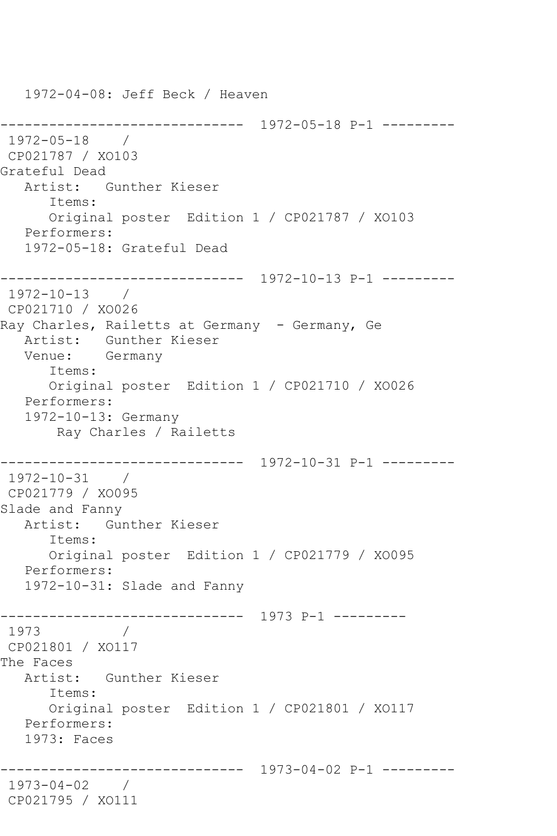1972-04-08: Jeff Beck / Heaven ------------------------------ 1972-05-18 P-1 --------- 1972-05-18 / CP021787 / XO103 Grateful Dead Artist: Gunther Kieser Items: Original poster Edition 1 / CP021787 / XO103 Performers: 1972-05-18: Grateful Dead ------------------------------ 1972-10-13 P-1 --------- 1972-10-13 / CP021710 / XO026 Ray Charles, Railetts at Germany - Germany, Ge Artist: Gunther Kieser Venue: Germany Items: Original poster Edition 1 / CP021710 / XO026 Performers: 1972-10-13: Germany Ray Charles / Railetts ------------------------------ 1972-10-31 P-1 --------- 1972-10-31 / CP021779 / XO095 Slade and Fanny Artist: Gunther Kieser Items: Original poster Edition 1 / CP021779 / XO095 Performers: 1972-10-31: Slade and Fanny ------------------------------ 1973 P-1 --------- 1973 / CP021801 / XO117 The Faces Artist: Gunther Kieser Items: Original poster Edition 1 / CP021801 / XO117 Performers: 1973: Faces ------------------------------ 1973-04-02 P-1 --------- 1973-04-02 / CP021795 / XO111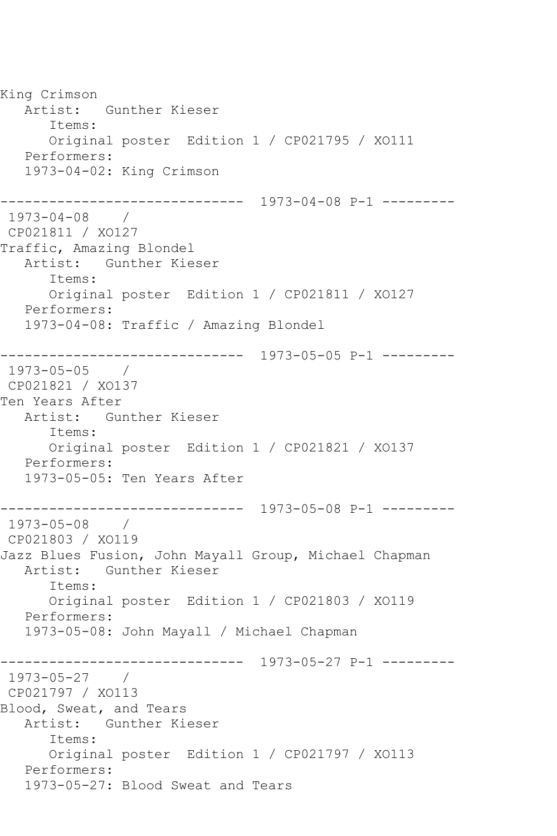King Crimson Artist: Gunther Kieser Items: Original poster Edition 1 / CP021795 / XO111 Performers: 1973-04-02: King Crimson ------------------------------ 1973-04-08 P-1 --------- 1973-04-08 / CP021811 / XO127 Traffic, Amazing Blondel Artist: Gunther Kieser Items: Original poster Edition 1 / CP021811 / XO127 Performers: 1973-04-08: Traffic / Amazing Blondel ------------------------------ 1973-05-05 P-1 --------- 1973-05-05 / CP021821 / XO137 Ten Years After Artist: Gunther Kieser Items: Original poster Edition 1 / CP021821 / XO137 Performers: 1973-05-05: Ten Years After ------------------------------ 1973-05-08 P-1 --------- 1973-05-08 / CP021803 / XO119 Jazz Blues Fusion, John Mayall Group, Michael Chapman Artist: Gunther Kieser Items: Original poster Edition 1 / CP021803 / XO119 Performers: 1973-05-08: John Mayall / Michael Chapman ------------------------------ 1973-05-27 P-1 --------- 1973-05-27 / CP021797 / XO113 Blood, Sweat, and Tears Artist: Gunther Kieser Items: Original poster Edition 1 / CP021797 / XO113 Performers: 1973-05-27: Blood Sweat and Tears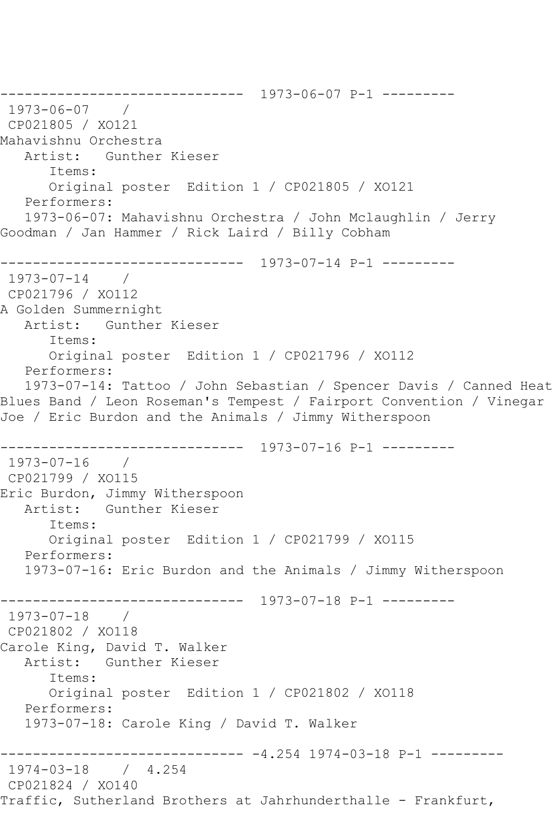------------------------------ 1973-06-07 P-1 --------- 1973-06-07 / CP021805 / XO121 Mahavishnu Orchestra Artist: Gunther Kieser Items: Original poster Edition 1 / CP021805 / XO121 Performers: 1973-06-07: Mahavishnu Orchestra / John Mclaughlin / Jerry Goodman / Jan Hammer / Rick Laird / Billy Cobham ------------------------------ 1973-07-14 P-1 --------- 1973-07-14 / CP021796 / XO112 A Golden Summernight Artist: Gunther Kieser Items: Original poster Edition 1 / CP021796 / XO112 Performers: 1973-07-14: Tattoo / John Sebastian / Spencer Davis / Canned Heat Blues Band / Leon Roseman's Tempest / Fairport Convention / Vinegar Joe / Eric Burdon and the Animals / Jimmy Witherspoon ------------------------------ 1973-07-16 P-1 --------- 1973-07-16 / CP021799 / XO115 Eric Burdon, Jimmy Witherspoon Artist: Gunther Kieser Items: Original poster Edition 1 / CP021799 / XO115 Performers: 1973-07-16: Eric Burdon and the Animals / Jimmy Witherspoon ------------------------------ 1973-07-18 P-1 --------- 1973-07-18 / CP021802 / XO118 Carole King, David T. Walker Artist: Gunther Kieser Items: Original poster Edition 1 / CP021802 / XO118 Performers: 1973-07-18: Carole King / David T. Walker ------------------------------ -4.254 1974-03-18 P-1 --------- 1974-03-18 / 4.254 CP021824 / XO140 Traffic, Sutherland Brothers at Jahrhunderthalle - Frankfurt,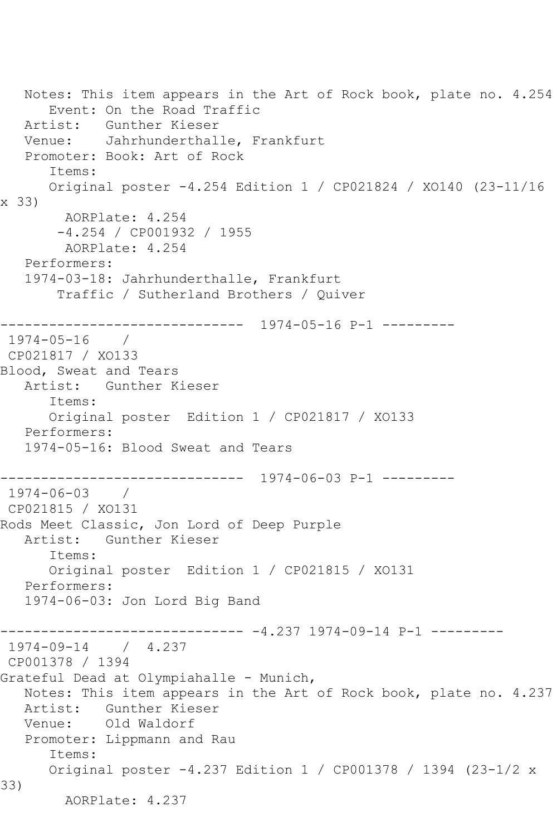Notes: This item appears in the Art of Rock book, plate no. 4.254 Event: On the Road Traffic Artist: Gunther Kieser Venue: Jahrhunderthalle, Frankfurt Promoter: Book: Art of Rock Items: Original poster -4.254 Edition 1 / CP021824 / XO140 (23-11/16 x 33) AORPlate: 4.254 -4.254 / CP001932 / 1955 AORPlate: 4.254 Performers: 1974-03-18: Jahrhunderthalle, Frankfurt Traffic / Sutherland Brothers / Quiver ------------------------------ 1974-05-16 P-1 --------- 1974-05-16 / CP021817 / XO133 Blood, Sweat and Tears Artist: Gunther Kieser Items: Original poster Edition 1 / CP021817 / XO133 Performers: 1974-05-16: Blood Sweat and Tears ------------------------------ 1974-06-03 P-1 --------- 1974-06-03 / CP021815 / XO131 Rods Meet Classic, Jon Lord of Deep Purple Artist: Gunther Kieser Items: Original poster Edition 1 / CP021815 / XO131 Performers: 1974-06-03: Jon Lord Big Band ------------------------------ -4.237 1974-09-14 P-1 --------- 1974-09-14 / 4.237 CP001378 / 1394 Grateful Dead at Olympiahalle - Munich, Notes: This item appears in the Art of Rock book, plate no. 4.237 Artist: Gunther Kieser Venue: Old Waldorf Promoter: Lippmann and Rau Items: Original poster -4.237 Edition 1 / CP001378 / 1394 (23-1/2 x 33) AORPlate: 4.237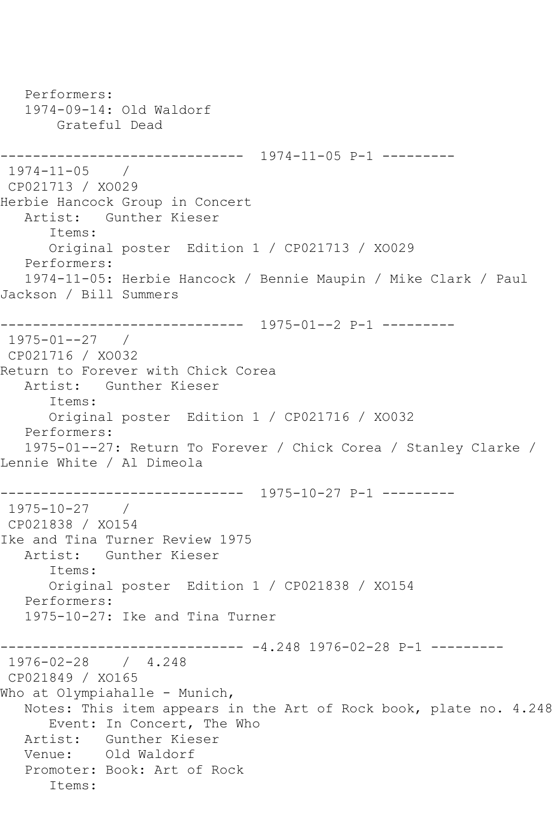Performers: 1974-09-14: Old Waldorf Grateful Dead ------------------------------ 1974-11-05 P-1 --------- 1974-11-05 / CP021713 / XO029 Herbie Hancock Group in Concert Artist: Gunther Kieser Items: Original poster Edition 1 / CP021713 / XO029 Performers: 1974-11-05: Herbie Hancock / Bennie Maupin / Mike Clark / Paul Jackson / Bill Summers ------------------------------ 1975-01--2 P-1 --------- 1975-01--27 / CP021716 / XO032 Return to Forever with Chick Corea Artist: Gunther Kieser Items: Original poster Edition 1 / CP021716 / XO032 Performers: 1975-01--27: Return To Forever / Chick Corea / Stanley Clarke / Lennie White / Al Dimeola ------------------------------ 1975-10-27 P-1 --------- 1975-10-27 / CP021838 / XO154 Ike and Tina Turner Review 1975 Artist: Gunther Kieser Items: Original poster Edition 1 / CP021838 / XO154 Performers: 1975-10-27: Ike and Tina Turner ------------------------------ -4.248 1976-02-28 P-1 --------- 1976-02-28 / 4.248 CP021849 / XO165 Who at Olympiahalle - Munich, Notes: This item appears in the Art of Rock book, plate no. 4.248 Event: In Concert, The Who Artist: Gunther Kieser Venue: Old Waldorf Promoter: Book: Art of Rock Items: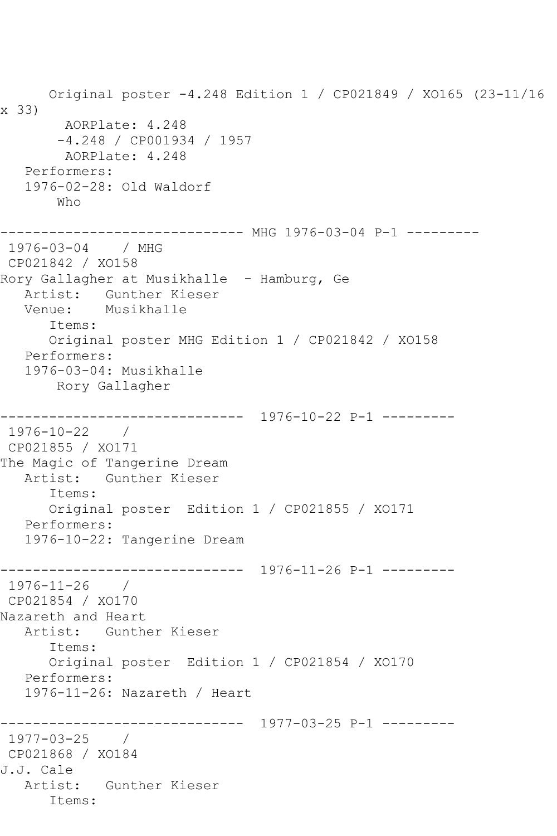Original poster -4.248 Edition 1 / CP021849 / XO165 (23-11/16 x 33) AORPlate: 4.248 -4.248 / CP001934 / 1957 AORPlate: 4.248 Performers: 1976-02-28: Old Waldorf Who ------------------------------ MHG 1976-03-04 P-1 --------- 1976-03-04 / MHG CP021842 / XO158 Rory Gallagher at Musikhalle - Hamburg, Ge Artist: Gunther Kieser Venue: Musikhalle Items: Original poster MHG Edition 1 / CP021842 / XO158 Performers: 1976-03-04: Musikhalle Rory Gallagher ------------------------------ 1976-10-22 P-1 --------- 1976-10-22 / CP021855 / XO171 The Magic of Tangerine Dream Artist: Gunther Kieser Items: Original poster Edition 1 / CP021855 / XO171 Performers: 1976-10-22: Tangerine Dream ------------------------------ 1976-11-26 P-1 --------- 1976-11-26 / CP021854 / XO170 Nazareth and Heart Artist: Gunther Kieser Items: Original poster Edition 1 / CP021854 / XO170 Performers: 1976-11-26: Nazareth / Heart ------------------------------ 1977-03-25 P-1 --------- 1977-03-25 / CP021868 / XO184 J.J. Cale Artist: Gunther Kieser Items: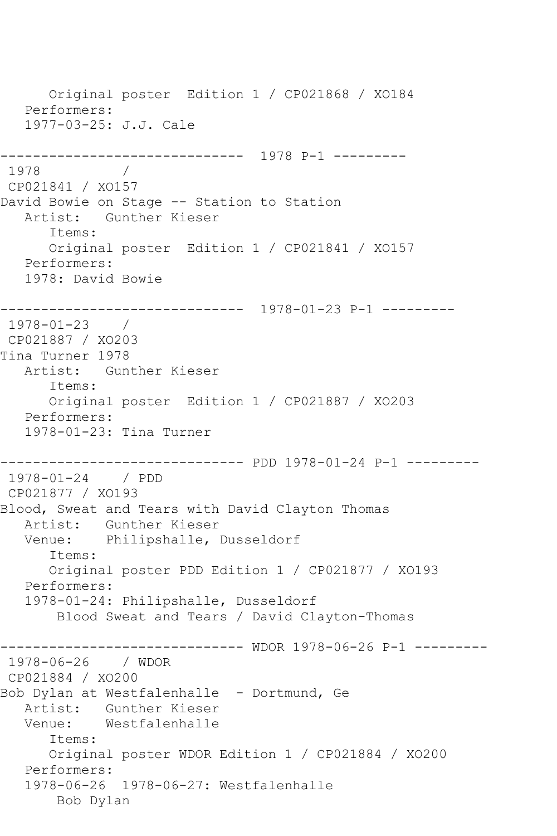Original poster Edition 1 / CP021868 / XO184 Performers: 1977-03-25: J.J. Cale ------------------------------ 1978 P-1 --------- 1978 / CP021841 / XO157 David Bowie on Stage -- Station to Station Artist: Gunther Kieser Items: Original poster Edition 1 / CP021841 / XO157 Performers: 1978: David Bowie ------------------------------ 1978-01-23 P-1 --------- 1978-01-23 / CP021887 / XO203 Tina Turner 1978 Artist: Gunther Kieser Items: Original poster Edition 1 / CP021887 / XO203 Performers: 1978-01-23: Tina Turner ------------------------------ PDD 1978-01-24 P-1 --------- 1978-01-24 / PDD CP021877 / XO193 Blood, Sweat and Tears with David Clayton Thomas Artist: Gunther Kieser Venue: Philipshalle, Dusseldorf Items: Original poster PDD Edition 1 / CP021877 / XO193 Performers: 1978-01-24: Philipshalle, Dusseldorf Blood Sweat and Tears / David Clayton-Thomas ------------------------------ WDOR 1978-06-26 P-1 --------- 1978-06-26 / WDOR CP021884 / XO200 Bob Dylan at Westfalenhalle - Dortmund, Ge Artist: Gunther Kieser Venue: Westfalenhalle Items: Original poster WDOR Edition 1 / CP021884 / XO200 Performers: 1978-06-26 1978-06-27: Westfalenhalle Bob Dylan